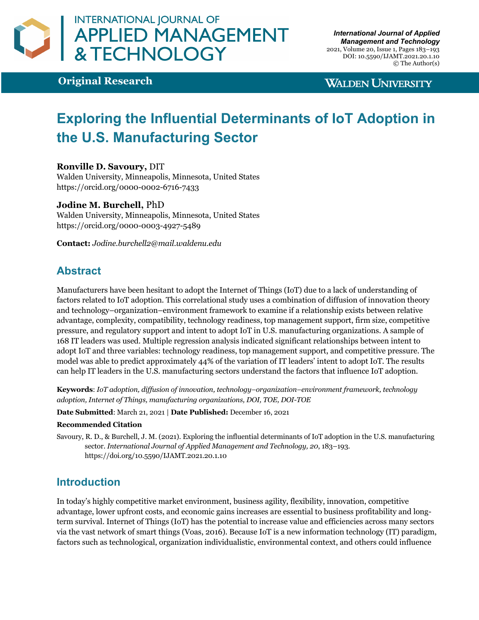

**Original Research**

## **WALDEN UNIVERSITY**

# **Exploring the Influential Determinants of IoT Adoption in the U.S. Manufacturing Sector**

#### **Ronville D. Savoury,** DIT

Walden University, Minneapolis, Minnesota, United States https://orcid.org/0000-0002-6716-7433

#### **Jodine M. Burchell,** PhD

Walden University, Minneapolis, Minnesota, United States https://orcid.org/0000-0003-4927-5489

**Contact:** *Jodine.burchell2@mail.waldenu.edu*

# **Abstract**

Manufacturers have been hesitant to adopt the Internet of Things (IoT) due to a lack of understanding of factors related to IoT adoption. This correlational study uses a combination of diffusion of innovation theory and technology–organization–environment framework to examine if a relationship exists between relative advantage, complexity, compatibility, technology readiness, top management support, firm size, competitive pressure, and regulatory support and intent to adopt IoT in U.S. manufacturing organizations. A sample of 168 IT leaders was used. Multiple regression analysis indicated significant relationships between intent to adopt IoT and three variables: technology readiness, top management support, and competitive pressure. The model was able to predict approximately 44% of the variation of IT leaders' intent to adopt IoT. The results can help IT leaders in the U.S. manufacturing sectors understand the factors that influence IoT adoption.

**Keywords**: *IoT adoption, diffusion of innovation, technology–organization–environment framework, technology adoption, Internet of Things, manufacturing organizations, DOI, TOE, DOI-TOE*

**Date Submitted**: March 21, 2021 | **Date Published:** December 16, 2021

#### **Recommended Citation**

Savoury, R. D., & Burchell, J. M. (2021). Exploring the influential determinants of IoT adoption in the U.S. manufacturing sector. *International Journal of Applied Management and Technology, 20*, 183–193. https://doi.org/10.5590/IJAMT.2021.20.1.10

### **Introduction**

In today's highly competitive market environment, business agility, flexibility, innovation, competitive advantage, lower upfront costs, and economic gains increases are essential to business profitability and longterm survival. Internet of Things (IoT) has the potential to increase value and efficiencies across many sectors via the vast network of smart things (Voas, 2016). Because IoT is a new information technology (IT) paradigm, factors such as technological, organization individualistic, environmental context, and others could influence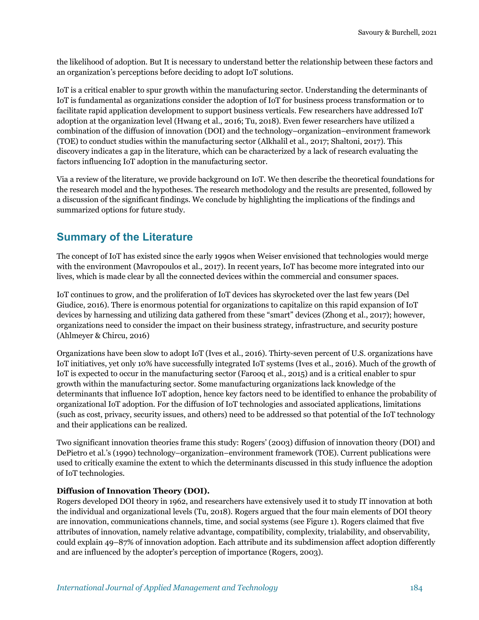the likelihood of adoption. But It is necessary to understand better the relationship between these factors and an organization's perceptions before deciding to adopt IoT solutions.

IoT is a critical enabler to spur growth within the manufacturing sector. Understanding the determinants of IoT is fundamental as organizations consider the adoption of IoT for business process transformation or to facilitate rapid application development to support business verticals. Few researchers have addressed IoT adoption at the organization level (Hwang et al., 2016; Tu, 2018). Even fewer researchers have utilized a combination of the diffusion of innovation (DOI) and the technology–organization–environment framework (TOE) to conduct studies within the manufacturing sector (Alkhalil et al., 2017; Shaltoni, 2017). This discovery indicates a gap in the literature, which can be characterized by a lack of research evaluating the factors influencing IoT adoption in the manufacturing sector.

Via a review of the literature, we provide background on IoT. We then describe the theoretical foundations for the research model and the hypotheses. The research methodology and the results are presented, followed by a discussion of the significant findings. We conclude by highlighting the implications of the findings and summarized options for future study.

# **Summary of the Literature**

The concept of IoT has existed since the early 1990s when Weiser envisioned that technologies would merge with the environment (Mavropoulos et al., 2017). In recent years, IoT has become more integrated into our lives, which is made clear by all the connected devices within the commercial and consumer spaces.

IoT continues to grow, and the proliferation of IoT devices has skyrocketed over the last few years (Del Giudice, 2016). There is enormous potential for organizations to capitalize on this rapid expansion of IoT devices by harnessing and utilizing data gathered from these "smart" devices (Zhong et al., 2017); however, organizations need to consider the impact on their business strategy, infrastructure, and security posture (Ahlmeyer & Chircu, 2016)

Organizations have been slow to adopt IoT (Ives et al., 2016). Thirty-seven percent of U.S. organizations have IoT initiatives, yet only 10% have successfully integrated IoT systems (Ives et al., 2016). Much of the growth of IoT is expected to occur in the manufacturing sector (Farooq et al., 2015) and is a critical enabler to spur growth within the manufacturing sector. Some manufacturing organizations lack knowledge of the determinants that influence IoT adoption, hence key factors need to be identified to enhance the probability of organizational IoT adoption. For the diffusion of IoT technologies and associated applications, limitations (such as cost, privacy, security issues, and others) need to be addressed so that potential of the IoT technology and their applications can be realized.

Two significant innovation theories frame this study: Rogers' (2003) diffusion of innovation theory (DOI) and DePietro et al.'s (1990) technology–organization–environment framework (TOE). Current publications were used to critically examine the extent to which the determinants discussed in this study influence the adoption of IoT technologies.

#### **Diffusion of Innovation Theory (DOI).**

Rogers developed DOI theory in 1962, and researchers have extensively used it to study IT innovation at both the individual and organizational levels (Tu, 2018). Rogers argued that the four main elements of DOI theory are innovation, communications channels, time, and social systems (see Figure 1). Rogers claimed that five attributes of innovation, namely relative advantage, compatibility, complexity, trialability, and observability, could explain 49–87% of innovation adoption. Each attribute and its subdimension affect adoption differently and are influenced by the adopter's perception of importance (Rogers, 2003).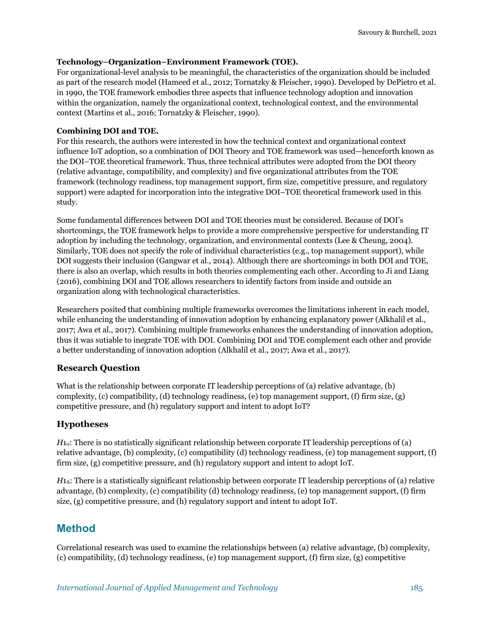#### **Technology–Organization–Environment Framework (TOE).**

For organizational-level analysis to be meaningful, the characteristics of the organization should be included as part of the research model (Hameed et al., 2012; Tornatzky & Fleischer, 1990). Developed by DePietro et al. in 1990, the TOE framework embodies three aspects that influence technology adoption and innovation within the organization, namely the organizational context, technological context, and the environmental context (Martins et al., 2016; Tornatzky & Fleischer, 1990).

#### **Combining DOI and TOE.**

For this research, the authors were interested in how the technical context and organizational context influence IoT adoption, so a combination of DOI Theory and TOE framework was used—henceforth known as the DOI–TOE theoretical framework. Thus, three technical attributes were adopted from the DOI theory (relative advantage, compatibility, and complexity) and five organizational attributes from the TOE framework (technology readiness, top management support, firm size, competitive pressure, and regulatory support) were adapted for incorporation into the integrative DOI–TOE theoretical framework used in this study.

Some fundamental differences between DOI and TOE theories must be considered. Because of DOI's shortcomings, the TOE framework helps to provide a more comprehensive perspective for understanding IT adoption by including the technology, organization, and environmental contexts (Lee & Cheung, 2004). Similarly, TOE does not specify the role of individual characteristics (e.g., top management support), while DOI suggests their inclusion (Gangwar et al., 2014). Although there are shortcomings in both DOI and TOE, there is also an overlap, which results in both theories complementing each other. According to Ji and Liang (2016), combining DOI and TOE allows researchers to identify factors from inside and outside an organization along with technological characteristics.

Researchers posited that combining multiple frameworks overcomes the limitations inherent in each model, while enhancing the understanding of innovation adoption by enhancing explanatory power (Alkhalil et al., 2017; Awa et al., 2017). Combining multiple frameworks enhances the understanding of innovation adoption, thus it was sutiable to inegrate TOE with DOI. Combining DOI and TOE complement each other and provide a better understanding of innovation adoption (Alkhalil et al., 2017; Awa et al., 2017).

### **Research Question**

What is the relationship between corporate IT leadership perceptions of (a) relative advantage, (b) complexity, (c) compatibility, (d) technology readiness, (e) top management support, (f) firm size, (g) competitive pressure, and (h) regulatory support and intent to adopt IoT?

#### **Hypotheses**

*H*<sub>10</sub>: There is no statistically significant relationship between corporate IT leadership perceptions of (a) relative advantage, (b) complexity, (c) compatibility (d) technology readiness, (e) top management support, (f) firm size, (g) competitive pressure, and (h) regulatory support and intent to adopt IoT.

*H*<sub>1</sub>. There is a statistically significant relationship between corporate IT leadership perceptions of (a) relative advantage, (b) complexity, (c) compatibility (d) technology readiness, (e) top management support, (f) firm size, (g) competitive pressure, and (h) regulatory support and intent to adopt IoT.

# **Method**

Correlational research was used to examine the relationships between (a) relative advantage, (b) complexity, (c) compatibility, (d) technology readiness, (e) top management support, (f) firm size, (g) competitive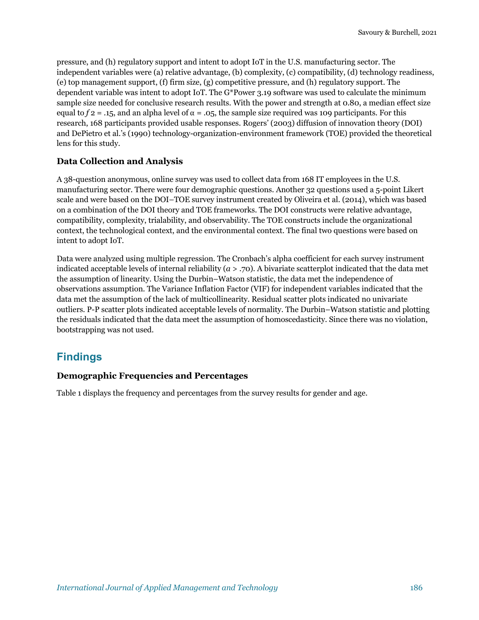pressure, and (h) regulatory support and intent to adopt IoT in the U.S. manufacturing sector. The independent variables were (a) relative advantage, (b) complexity, (c) compatibility, (d) technology readiness, (e) top management support, (f) firm size, (g) competitive pressure, and (h) regulatory support. The dependent variable was intent to adopt IoT. The G\*Power 3.19 software was used to calculate the minimum sample size needed for conclusive research results. With the power and strength at 0.80, a median effect size equal to  $f_2 = 0.15$ , and an alpha level of  $\alpha = 0.05$ , the sample size required was 109 participants. For this research, 168 participants provided usable responses. Rogers' (2003) diffusion of innovation theory (DOI) and DePietro et al.'s (1990) technology-organization-environment framework (TOE) provided the theoretical lens for this study.

#### **Data Collection and Analysis**

A 38-question anonymous, online survey was used to collect data from 168 IT employees in the U.S. manufacturing sector. There were four demographic questions. Another 32 questions used a 5-point Likert scale and were based on the DOI–TOE survey instrument created by Oliveira et al. (2014), which was based on a combination of the DOI theory and TOE frameworks. The DOI constructs were relative advantage, compatibility, complexity, trialability, and observability. The TOE constructs include the organizational context, the technological context, and the environmental context. The final two questions were based on intent to adopt IoT.

Data were analyzed using multiple regression. The Cronbach's alpha coefficient for each survey instrument indicated acceptable levels of internal reliability (*a* > .70). A bivariate scatterplot indicated that the data met the assumption of linearity. Using the Durbin–Watson statistic, the data met the independence of observations assumption. The Variance Inflation Factor (VIF) for independent variables indicated that the data met the assumption of the lack of multicollinearity. Residual scatter plots indicated no univariate outliers. P-P scatter plots indicated acceptable levels of normality. The Durbin–Watson statistic and plotting the residuals indicated that the data meet the assumption of homoscedasticity. Since there was no violation, bootstrapping was not used.

# **Findings**

#### **Demographic Frequencies and Percentages**

Table 1 displays the frequency and percentages from the survey results for gender and age.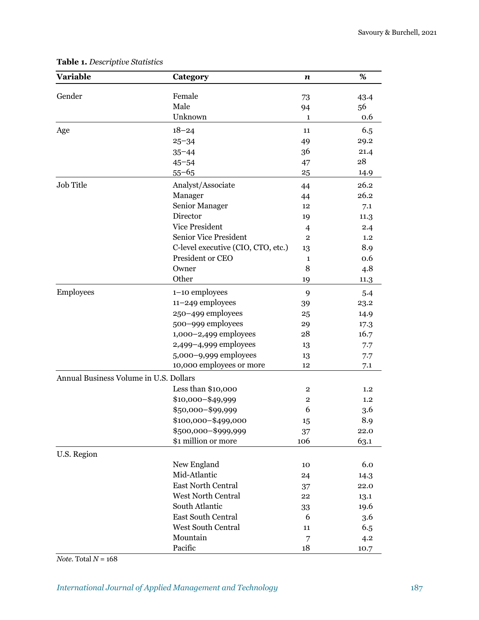| <b>Variable</b>                        | Category                           | n                       | %    |
|----------------------------------------|------------------------------------|-------------------------|------|
| Gender                                 | Female                             | 73                      | 43.4 |
|                                        | Male                               | 94                      | 56   |
|                                        | Unknown                            | 1                       | 0.6  |
| Age                                    | $18 - 24$                          | 11                      | 6.5  |
|                                        | $25 - 34$                          | 49                      | 29.2 |
|                                        | $35 - 44$                          | 36                      | 21.4 |
|                                        | $45 - 54$                          | 47                      | 28   |
|                                        | $55 - 65$                          | 25                      | 14.9 |
| Job Title                              | Analyst/Associate                  | 44                      | 26.2 |
|                                        | Manager                            | 44                      | 26.2 |
|                                        | Senior Manager                     | 12                      | 7.1  |
|                                        | Director                           | 19                      | 11.3 |
|                                        | <b>Vice President</b>              | $\overline{4}$          | 2.4  |
|                                        | <b>Senior Vice President</b>       | $\overline{2}$          | 1.2  |
|                                        | C-level executive (CIO, CTO, etc.) | 13                      | 8.9  |
|                                        | President or CEO                   | $\mathbf{1}$            | 0.6  |
|                                        | Owner                              | 8                       | 4.8  |
|                                        | Other                              | 19                      | 11.3 |
| <b>Employees</b>                       | 1-10 employees                     | 9                       | 5.4  |
|                                        | 11-249 employees                   | 39                      | 23.2 |
|                                        | 250-499 employees                  | 25                      | 14.9 |
|                                        | 500-999 employees                  | 29                      | 17.3 |
|                                        | 1,000-2,499 employees              | 28                      | 16.7 |
|                                        | 2,499-4,999 employees              | 13                      | 7.7  |
|                                        | 5,000-9,999 employees              | 13                      | 7.7  |
|                                        | 10,000 employees or more           | 12                      | 7.1  |
| Annual Business Volume in U.S. Dollars |                                    |                         |      |
|                                        | Less than \$10,000                 | $\overline{\mathbf{2}}$ | 1.2  |
|                                        | \$10,000-\$49,999                  | $\mathbf{2}$            | 1.2  |
|                                        | \$50,000-\$99,999                  | 6                       | 3.6  |
|                                        | \$100,000-\$499,000                | 15                      | 8.9  |
|                                        | \$500,000-\$999,999                | 37                      | 22.0 |
|                                        | \$1 million or more                | 106                     | 63.1 |
| U.S. Region                            |                                    |                         |      |
|                                        | New England                        | 10                      | 6.0  |
|                                        | Mid-Atlantic                       | 24                      | 14.3 |
|                                        | <b>East North Central</b>          | 37                      | 22.0 |
|                                        | <b>West North Central</b>          | 22                      | 13.1 |
|                                        | South Atlantic                     | 33                      | 19.6 |
|                                        | East South Central                 | 6                       | 3.6  |
|                                        | <b>West South Central</b>          | 11                      | 6.5  |
|                                        | Mountain                           | 7                       | 4.2  |
|                                        | Pacific                            | 18                      | 10.7 |

## **Table 1.** *Descriptive Statistics*

*Note.* Total *N* = 168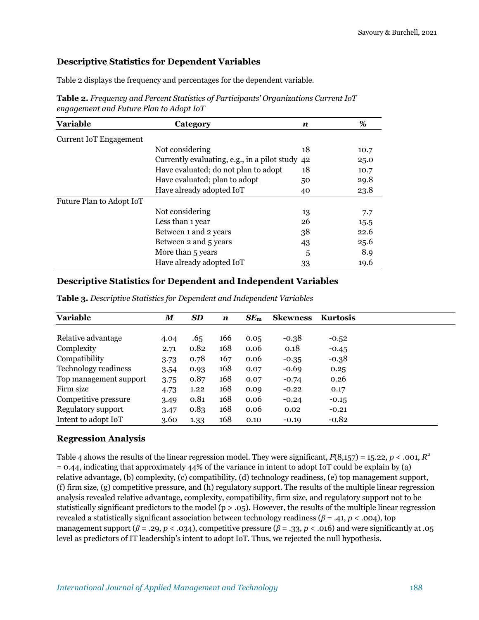#### **Descriptive Statistics for Dependent Variables**

Table 2 displays the frequency and percentages for the dependent variable.

| <b>Variable</b>               | Category                                     | n  | %    |  |
|-------------------------------|----------------------------------------------|----|------|--|
| <b>Current IoT Engagement</b> |                                              |    |      |  |
|                               | Not considering                              | 18 | 10.7 |  |
|                               | Currently evaluating, e.g., in a pilot study | 42 | 25.0 |  |
|                               | Have evaluated; do not plan to adopt         | 18 | 10.7 |  |
|                               | Have evaluated; plan to adopt                | 50 | 29.8 |  |
|                               | Have already adopted IoT                     | 40 | 23.8 |  |
| Future Plan to Adopt IoT      |                                              |    |      |  |
|                               | Not considering                              | 13 | 7.7  |  |
|                               | Less than 1 year                             | 26 | 15.5 |  |
|                               | Between 1 and 2 years                        | 38 | 22.6 |  |
|                               | Between 2 and 5 years                        | 43 | 25.6 |  |
|                               | More than 5 years                            | 5  | 8.9  |  |
|                               | Have already adopted IoT                     | 33 | 19.6 |  |

**Table 2.** *Frequency and Percent Statistics of Participants' Organizations Current IoT engagement and Future Plan to Adopt IoT*

#### **Descriptive Statistics for Dependent and Independent Variables**

| <b>Variable</b>             | $\boldsymbol{M}$ | <b>SD</b> | $\boldsymbol{n}$ | SE <sub>m</sub> | <b>Skewness</b> | <b>Kurtosis</b> |  |
|-----------------------------|------------------|-----------|------------------|-----------------|-----------------|-----------------|--|
|                             |                  |           |                  |                 |                 |                 |  |
| Relative advantage          | 4.04             | .65       | 166              | 0.05            | $-0.38$         | $-0.52$         |  |
| Complexity                  | 2.71             | 0.82      | 168              | 0.06            | 0.18            | $-0.45$         |  |
| Compatibility               | 3.73             | 0.78      | 167              | 0.06            | $-0.35$         | $-0.38$         |  |
| <b>Technology readiness</b> | 3.54             | 0.93      | 168              | 0.07            | $-0.69$         | 0.25            |  |
| Top management support      | 3.75             | 0.87      | 168              | 0.07            | $-0.74$         | 0.26            |  |
| Firm size                   | 4.73             | 1.22      | 168              | 0.09            | $-0.22$         | 0.17            |  |
| Competitive pressure        | 3.49             | 0.81      | 168              | 0.06            | $-0.24$         | $-0.15$         |  |
| Regulatory support          | 3.47             | 0.83      | 168              | 0.06            | 0.02            | $-0.21$         |  |
| Intent to adopt IoT         | 3.60             | 1.33      | 168              | 0.10            | $-0.19$         | $-0.82$         |  |

**Table 3.** *Descriptive Statistics for Dependent and Independent Variables*

#### **Regression Analysis**

Table 4 shows the results of the linear regression model. They were significant,  $F(8,157) = 15.22$ ,  $p < .001$ ,  $R^2$  $= 0.44$ , indicating that approximately 44% of the variance in intent to adopt IoT could be explain by (a) relative advantage, (b) complexity, (c) compatibility, (d) technology readiness, (e) top management support, (f) firm size, (g) competitive pressure, and (h) regulatory support. The results of the multiple linear regression analysis revealed relative advantage, complexity, compatibility, firm size, and regulatory support not to be statistically significant predictors to the model ( $p > .05$ ). However, the results of the multiple linear regression revealed a statistically significant association between technology readiness (*β* = .41, *p* < .004), top management support ( $\beta$  = .29,  $p$  < .034), competitive pressure ( $\beta$  = .33,  $p$  < .016) and were significantly at .05 level as predictors of IT leadership's intent to adopt IoT. Thus, we rejected the null hypothesis.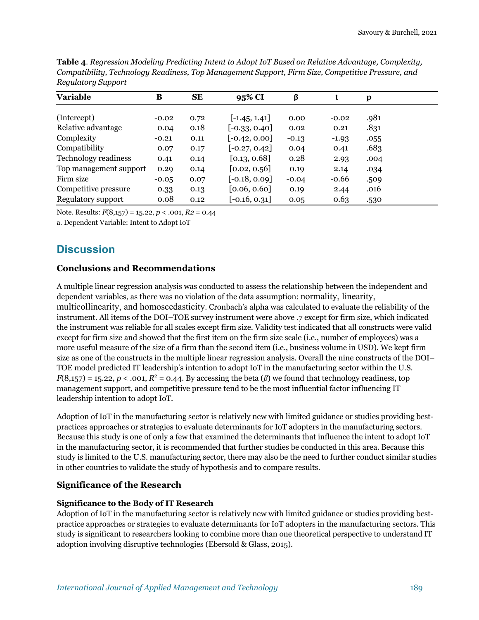| <b>Variable</b>        | B       | <b>SE</b> | 95% CI          | β       | t       | p    |  |
|------------------------|---------|-----------|-----------------|---------|---------|------|--|
|                        |         |           |                 |         |         |      |  |
| (Intercept)            | $-0.02$ | 0.72      | $[-1.45, 1.41]$ | 0.00    | $-0.02$ | .981 |  |
| Relative advantage     | 0.04    | 0.18      | $[-0.33, 0.40]$ | 0.02    | 0.21    | .831 |  |
| Complexity             | $-0.21$ | 0.11      | $[-0.42, 0.00]$ | $-0.13$ | $-1.93$ | .055 |  |
| Compatibility          | 0.07    | 0.17      | $[-0.27, 0.42]$ | 0.04    | 0.41    | .683 |  |
| Technology readiness   | 0.41    | 0.14      | [0.13, 0.68]    | 0.28    | 2.93    | .004 |  |
| Top management support | 0.29    | 0.14      | [0.02, 0.56]    | 0.19    | 2.14    | .034 |  |
| Firm size              | $-0.05$ | 0.07      | $[-0.18, 0.09]$ | $-0.04$ | $-0.66$ | .509 |  |
| Competitive pressure   | 0.33    | 0.13      | [0.06, 0.60]    | 0.19    | 2.44    | .016 |  |
| Regulatory support     | 0.08    | 0.12      | $[-0.16, 0.31]$ | 0.05    | 0.63    | .530 |  |

**Table 4**. *Regression Modeling Predicting Intent to Adopt IoT Based on Relative Advantage, Complexity, Compatibility, Technology Readiness, Top Management Support, Firm Size, Competitive Pressure, and Regulatory Support*

Note. Results: *F*(8,157) = 15.22, *p* < .001, *R2* = 0.44

a. Dependent Variable: Intent to Adopt IoT

# **Discussion**

#### **Conclusions and Recommendations**

A multiple linear regression analysis was conducted to assess the relationship between the independent and dependent variables, as there was no violation of the data assumption: normality, linearity, multicollinearity, and homoscedasticity. Cronbach's alpha was calculated to evaluate the reliability of the instrument. All items of the DOI–TOE survey instrument were above .7 except for firm size, which indicated the instrument was reliable for all scales except firm size. Validity test indicated that all constructs were valid except for firm size and showed that the first item on the firm size scale (i.e., number of employees) was a more useful measure of the size of a firm than the second item (i.e., business volume in USD). We kept firm size as one of the constructs in the multiple linear regression analysis. Overall the nine constructs of the DOI– TOE model predicted IT leadership's intention to adopt IoT in the manufacturing sector within the U.S.  $F(8,157) = 15.22, p < .001, R^2 = 0.44$ . By accessing the beta ( $\beta$ ) we found that technology readiness, top management support, and competitive pressure tend to be the most influential factor influencing IT leadership intention to adopt IoT.

Adoption of IoT in the manufacturing sector is relatively new with limited guidance or studies providing bestpractices approaches or strategies to evaluate determinants for IoT adopters in the manufacturing sectors. Because this study is one of only a few that examined the determinants that influence the intent to adopt IoT in the manufacturing sector, it is recommended that further studies be conducted in this area. Because this study is limited to the U.S. manufacturing sector, there may also be the need to further conduct similar studies in other countries to validate the study of hypothesis and to compare results.

### **Significance of the Research**

### **Significance to the Body of IT Research**

Adoption of IoT in the manufacturing sector is relatively new with limited guidance or studies providing bestpractice approaches or strategies to evaluate determinants for IoT adopters in the manufacturing sectors. This study is significant to researchers looking to combine more than one theoretical perspective to understand IT adoption involving disruptive technologies (Ebersold & Glass, 2015).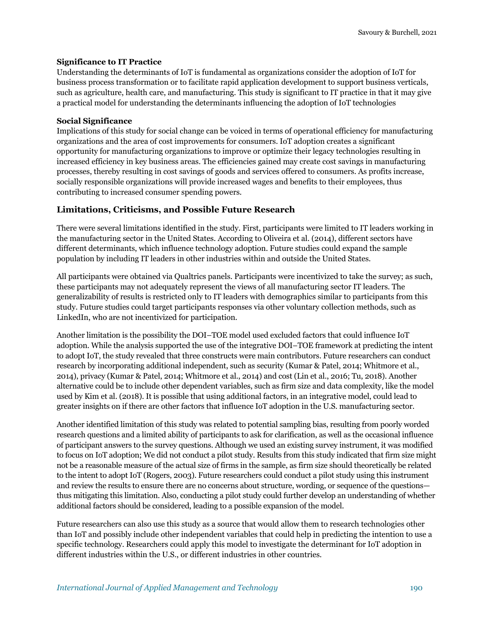#### **Significance to IT Practice**

Understanding the determinants of IoT is fundamental as organizations consider the adoption of IoT for business process transformation or to facilitate rapid application development to support business verticals, such as agriculture, health care, and manufacturing. This study is significant to IT practice in that it may give a practical model for understanding the determinants influencing the adoption of IoT technologies

#### **Social Significance**

Implications of this study for social change can be voiced in terms of operational efficiency for manufacturing organizations and the area of cost improvements for consumers. IoT adoption creates a significant opportunity for manufacturing organizations to improve or optimize their legacy technologies resulting in increased efficiency in key business areas. The efficiencies gained may create cost savings in manufacturing processes, thereby resulting in cost savings of goods and services offered to consumers. As profits increase, socially responsible organizations will provide increased wages and benefits to their employees, thus contributing to increased consumer spending powers.

#### **Limitations, Criticisms, and Possible Future Research**

There were several limitations identified in the study. First, participants were limited to IT leaders working in the manufacturing sector in the United States. According to Oliveira et al. (2014), different sectors have different determinants, which influence technology adoption. Future studies could expand the sample population by including IT leaders in other industries within and outside the United States.

All participants were obtained via Qualtrics panels. Participants were incentivized to take the survey; as such, these participants may not adequately represent the views of all manufacturing sector IT leaders. The generalizability of results is restricted only to IT leaders with demographics similar to participants from this study. Future studies could target participants responses via other voluntary collection methods, such as LinkedIn, who are not incentivized for participation.

Another limitation is the possibility the DOI–TOE model used excluded factors that could influence IoT adoption. While the analysis supported the use of the integrative DOI–TOE framework at predicting the intent to adopt IoT, the study revealed that three constructs were main contributors. Future researchers can conduct research by incorporating additional independent, such as security (Kumar & Patel, 2014; Whitmore et al., 2014), privacy (Kumar & Patel, 2014; Whitmore et al., 2014) and cost (Lin et al., 2016; Tu, 2018). Another alternative could be to include other dependent variables, such as firm size and data complexity, like the model used by Kim et al. (2018). It is possible that using additional factors, in an integrative model, could lead to greater insights on if there are other factors that influence IoT adoption in the U.S. manufacturing sector.

Another identified limitation of this study was related to potential sampling bias, resulting from poorly worded research questions and a limited ability of participants to ask for clarification, as well as the occasional influence of participant answers to the survey questions. Although we used an existing survey instrument, it was modified to focus on IoT adoption; We did not conduct a pilot study. Results from this study indicated that firm size might not be a reasonable measure of the actual size of firms in the sample, as firm size should theoretically be related to the intent to adopt IoT (Rogers, 2003). Future researchers could conduct a pilot study using this instrument and review the results to ensure there are no concerns about structure, wording, or sequence of the questions thus mitigating this limitation. Also, conducting a pilot study could further develop an understanding of whether additional factors should be considered, leading to a possible expansion of the model.

Future researchers can also use this study as a source that would allow them to research technologies other than IoT and possibly include other independent variables that could help in predicting the intention to use a specific technology. Researchers could apply this model to investigate the determinant for IoT adoption in different industries within the U.S., or different industries in other countries.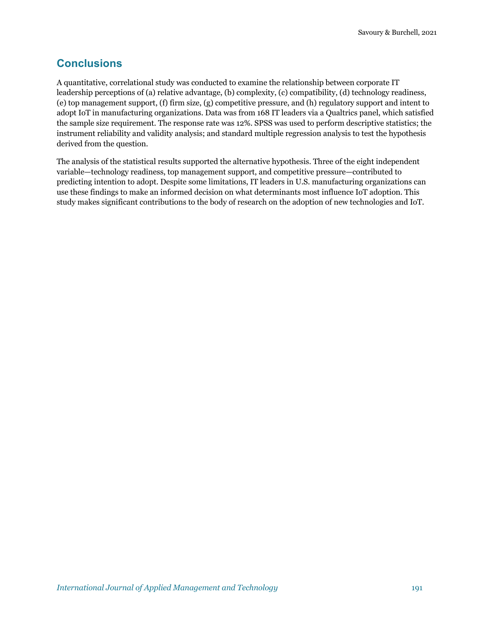# **Conclusions**

A quantitative, correlational study was conducted to examine the relationship between corporate IT leadership perceptions of (a) relative advantage, (b) complexity, (c) compatibility, (d) technology readiness, (e) top management support, (f) firm size, (g) competitive pressure, and (h) regulatory support and intent to adopt IoT in manufacturing organizations. Data was from 168 IT leaders via a Qualtrics panel, which satisfied the sample size requirement. The response rate was 12%. SPSS was used to perform descriptive statistics; the instrument reliability and validity analysis; and standard multiple regression analysis to test the hypothesis derived from the question.

The analysis of the statistical results supported the alternative hypothesis. Three of the eight independent variable—technology readiness, top management support, and competitive pressure—contributed to predicting intention to adopt. Despite some limitations, IT leaders in U.S. manufacturing organizations can use these findings to make an informed decision on what determinants most influence IoT adoption. This study makes significant contributions to the body of research on the adoption of new technologies and IoT.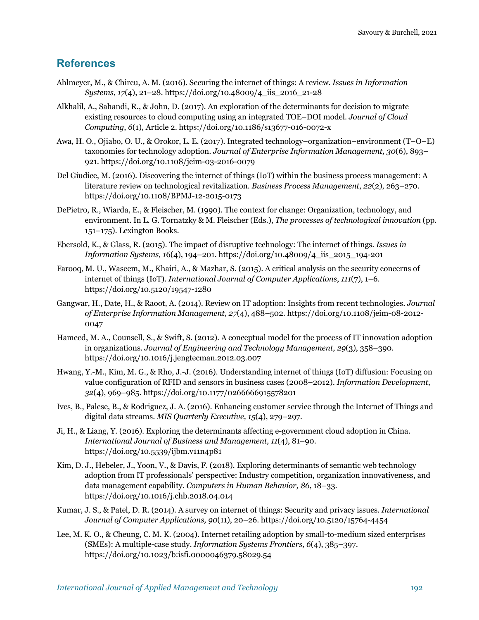### **References**

- Ahlmeyer, M., & Chircu, A. M. (2016). Securing the internet of things: A review. *Issues in Information Systems*, *17*(4), 21–28. https://doi.org/10.48009/4\_iis\_2016\_21-28
- Alkhalil, A., Sahandi, R., & John, D. (2017). An exploration of the determinants for decision to migrate existing resources to cloud computing using an integrated TOE–DOI model. *Journal of Cloud Computing*, *6*(1), Article 2. https://doi.org/10.1186/s13677-016-0072-x
- Awa, H. O., Ojiabo, O. U., & Orokor, L. E. (2017). Integrated technology–organization–environment (T–O–E) taxonomies for technology adoption. *Journal of Enterprise Information Management, 30*(6), 893– 921. https://doi.org/10.1108/jeim-03-2016-0079
- Del Giudice, M. (2016). Discovering the internet of things (IoT) within the business process management: A literature review on technological revitalization. *Business Process Management*, *22*(2), 263–270. https://doi.org/10.1108/BPMJ-12-2015-0173
- DePietro, R., Wiarda, E., & Fleischer, M. (1990). The context for change: Organization, technology, and environment. In L. G. Tornatzky & M. Fleischer (Eds.), *The processes of technological innovation* (pp. 151–175). Lexington Books.
- Ebersold, K., & Glass, R. (2015). The impact of disruptive technology: The internet of things. *Issues in Information Systems, 1*6(4), 194–201. https://doi.org/10.48009/4\_iis\_2015\_194-201
- Farooq, M. U., Waseem, M., Khairi, A., & Mazhar, S. (2015). A critical analysis on the security concerns of internet of things (IoT). *International Journal of Computer Applications*, *111*(7), 1–6. https://doi.org/10.5120/19547-1280
- Gangwar, H., Date, H., & Raoot, A. (2014). Review on IT adoption: Insights from recent technologies. *Journal of Enterprise Information Management*, *27*(4), 488–502. https://doi.org/10.1108/jeim-08-2012- 0047
- Hameed, M. A., Counsell, S., & Swift, S. (2012). A conceptual model for the process of IT innovation adoption in organizations. *Journal of Engineering and Technology Management*, *29*(3), 358–390. https://doi.org/10.1016/j.jengtecman.2012.03.007
- Hwang, Y.-M., Kim, M. G., & Rho, J.-J. (2016). Understanding internet of things (IoT) diffusion: Focusing on value configuration of RFID and sensors in business cases (2008–2012). *Information Development*, *32*(4), 969–985. https://doi.org/10.1177/0266666915578201
- Ives, B., Palese, B., & Rodriguez, J. A. (2016). Enhancing customer service through the Internet of Things and digital data streams. *MIS Quarterly Executive, 15*(4), 279–297.
- Ji, H., & Liang, Y. (2016). Exploring the determinants affecting e-government cloud adoption in China. *International Journal of Business and Management, 11*(4), 81–90. https://doi.org/10.5539/ijbm.v11n4p81
- Kim, D. J., Hebeler, J., Yoon, V., & Davis, F. (2018). Exploring determinants of semantic web technology adoption from IT professionals' perspective: Industry competition, organization innovativeness, and data management capability. *Computers in Human Behavior, 86*, 18–33. https://doi.org/10.1016/j.chb.2018.04.014
- Kumar, J. S., & Patel, D. R. (2014). A survey on internet of things: Security and privacy issues. *International Journal of Computer Applications, 90*(11), 20–26. https://doi.org/10.5120/15764-4454
- Lee, M. K. O., & Cheung, C. M. K. (2004). Internet retailing adoption by small-to-medium sized enterprises (SMEs): A multiple-case study. *Information Systems Frontiers, 6*(4), 385–397. https://doi.org/10.1023/b:isfi.0000046379.58029.54